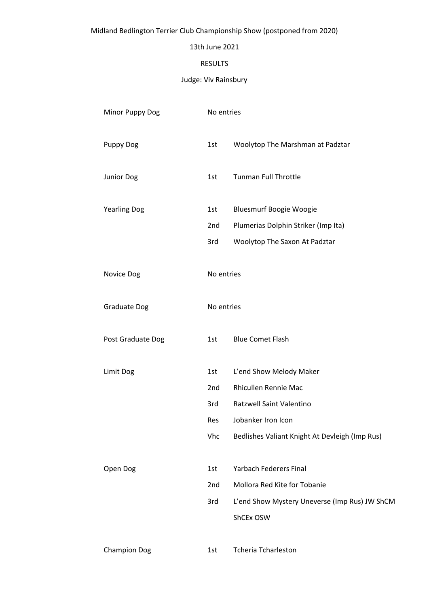# Midland Bedlington Terrier Club Championship Show (postponed from 2020)

## 13th June 2021

## RESULTS

# Judge: Viv Rainsbury

| Minor Puppy Dog     | No entries |                                                |  |
|---------------------|------------|------------------------------------------------|--|
| <b>Puppy Dog</b>    | 1st        | Woolytop The Marshman at Padztar               |  |
| Junior Dog          | 1st        | <b>Tunman Full Throttle</b>                    |  |
| <b>Yearling Dog</b> | 1st        | <b>Bluesmurf Boogie Woogie</b>                 |  |
|                     | 2nd        | Plumerias Dolphin Striker (Imp Ita)            |  |
|                     | 3rd        | Woolytop The Saxon At Padztar                  |  |
| Novice Dog          | No entries |                                                |  |
| <b>Graduate Dog</b> | No entries |                                                |  |
| Post Graduate Dog   | 1st        | <b>Blue Comet Flash</b>                        |  |
| Limit Dog           | 1st        | L'end Show Melody Maker                        |  |
|                     | 2nd        | Rhicullen Rennie Mac                           |  |
|                     | 3rd        | Ratzwell Saint Valentino                       |  |
|                     | Res        | Jobanker Iron Icon                             |  |
|                     | Vhc        | Bedlishes Valiant Knight At Devleigh (Imp Rus) |  |
| Open Dog            | 1st        | <b>Yarbach Federers Final</b>                  |  |
|                     | 2nd        | Mollora Red Kite for Tobanie                   |  |
|                     | 3rd        | L'end Show Mystery Uneverse (Imp Rus) JW ShCM  |  |
|                     |            | ShCEx OSW                                      |  |
| <b>Champion Dog</b> | 1st        | <b>Tcheria Tcharleston</b>                     |  |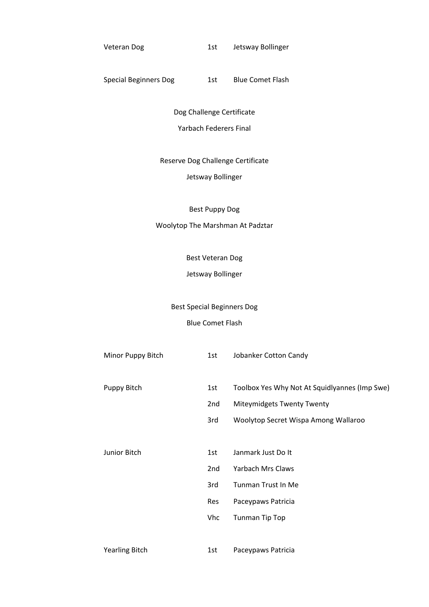Veteran Dog 1st Jetsway Bollinger

## Special Beginners Dog 1st Blue Comet Flash

Dog Challenge Certificate Yarbach Federers Final

Reserve Dog Challenge Certificate

## Jetsway Bollinger

Best Puppy Dog

## Woolytop The Marshman At Padztar

Best Veteran Dog

Jetsway Bollinger

# Best Special Beginners Dog

## Blue Comet Flash

| Minor Puppy Bitch     | 1st | Jobanker Cotton Candy                         |
|-----------------------|-----|-----------------------------------------------|
|                       |     |                                               |
| Puppy Bitch           | 1st | Toolbox Yes Why Not At Squidlyannes (Imp Swe) |
|                       | 2nd | <b>Miteymidgets Twenty Twenty</b>             |
|                       | 3rd | Woolytop Secret Wispa Among Wallaroo          |
|                       |     |                                               |
| Junior Bitch          | 1st | Janmark Just Do It                            |
|                       | 2nd | Yarbach Mrs Claws                             |
|                       | 3rd | Tunman Trust In Me                            |
|                       | Res | Paceypaws Patricia                            |
|                       | Vhc | Tunman Tip Top                                |
|                       |     |                                               |
| <b>Yearling Bitch</b> | 1st | Paceypaws Patricia                            |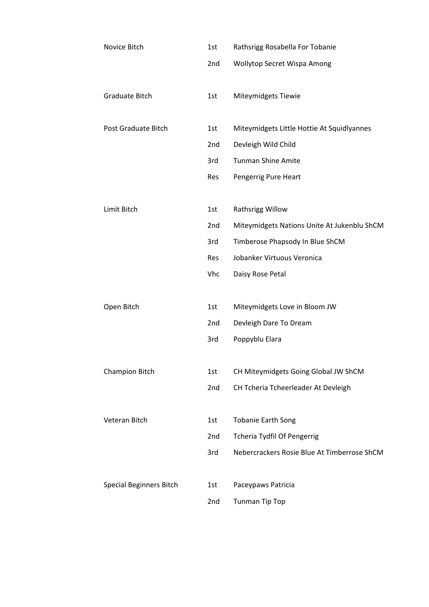| Novice Bitch                   | 1st | Rathsrigg Rosabella For Tobanie             |
|--------------------------------|-----|---------------------------------------------|
|                                | 2nd | Wollytop Secret Wispa Among                 |
|                                |     |                                             |
| Graduate Bitch                 | 1st | Miteymidgets Tiewie                         |
|                                |     |                                             |
| Post Graduate Bitch            | 1st | Miteymidgets Little Hottie At Squidlyannes  |
|                                | 2nd | Devleigh Wild Child                         |
|                                | 3rd | <b>Tunman Shine Amite</b>                   |
|                                | Res | Pengerrig Pure Heart                        |
|                                |     |                                             |
| Limit Bitch                    | 1st | Rathsrigg Willow                            |
|                                | 2nd | Miteymidgets Nations Unite At Jukenblu ShCM |
|                                | 3rd | Timberose Phapsody In Blue ShCM             |
|                                | Res | Jobanker Virtuous Veronica                  |
|                                | Vhc | Daisy Rose Petal                            |
|                                |     |                                             |
| Open Bitch                     | 1st | Miteymidgets Love in Bloom JW               |
|                                | 2nd | Devleigh Dare To Dream                      |
|                                | 3rd | Poppyblu Elara                              |
|                                |     |                                             |
| <b>Champion Bitch</b>          | 1st | CH Miteymidgets Going Global JW ShCM        |
|                                | 2nd | CH Tcheria Tcheerleader At Devleigh         |
|                                |     |                                             |
| Veteran Bitch                  | 1st | <b>Tobanie Earth Song</b>                   |
|                                | 2nd | <b>Tcheria Tydfil Of Pengerrig</b>          |
|                                | 3rd | Nebercrackers Rosie Blue At Timberrose ShCM |
|                                |     |                                             |
| <b>Special Beginners Bitch</b> | 1st | Paceypaws Patricia                          |
|                                | 2nd | Tunman Tip Top                              |